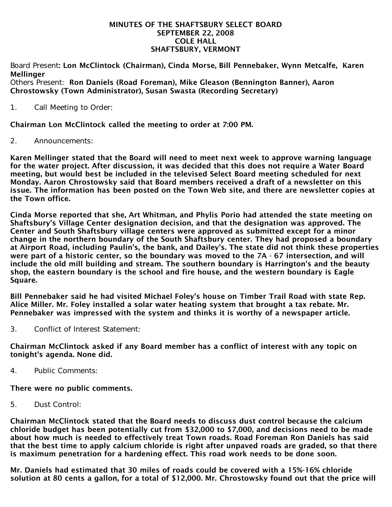#### MINUTES OF THE SHAFTSBURY SELECT BOARD SEPTEMBER 22, 2008 COLE HALL SHAFTSBURY, VERMONT

Board Present: Lon McClintock (Chairman), Cinda Morse, Bill Pennebaker, Wynn Metcalfe, Karen **Mellinger** 

Others Present: Ron Daniels (Road Foreman), Mike Gleason (Bennington Banner), Aaron Chrostowsky (Town Administrator), Susan Swasta (Recording Secretary)

1. Call Meeting to Order:

Chairman Lon McClintock called the meeting to order at 7:00 PM.

2. Announcements:

Karen Mellinger stated that the Board will need to meet next week to approve warning language for the water project. After discussion, it was decided that this does not require a Water Board meeting, but would best be included in the televised Select Board meeting scheduled for next Monday. Aaron Chrostowsky said that Board members received a draft of a newsletter on this issue. The information has been posted on the Town Web site, and there are newsletter copies at the Town office.

Cinda Morse reported that she, Art Whitman, and Phylis Porio had attended the state meeting on Shaftsbury's Village Center designation decision, and that the designation was approved. The Center and South Shaftsbury village centers were approved as submitted except for a minor change in the northern boundary of the South Shaftsbury center. They had proposed a boundary at Airport Road, including Paulin's, the bank, and Dailey's. The state did not think these properties were part of a historic center, so the boundary was moved to the 7A - 67 intersection, and will include the old mill building and stream. The southern boundary is Harrington's and the beauty shop, the eastern boundary is the school and fire house, and the western boundary is Eagle Square.

Bill Pennebaker said he had visited Michael Foley's house on Timber Trail Road with state Rep. Alice Miller. Mr. Foley installed a solar water heating system that brought a tax rebate. Mr. Pennebaker was impressed with the system and thinks it is worthy of a newspaper article.

3. Conflict of Interest Statement:

Chairman McClintock asked if any Board member has a conflict of interest with any topic on tonight's agenda. None did.

4. Public Comments:

There were no public comments.

5. Dust Control:

Chairman McClintock stated that the Board needs to discuss dust control because the calcium chloride budget has been potentially cut from \$32,000 to \$7,000, and decisions need to be made about how much is needed to effectively treat Town roads. Road Foreman Ron Daniels has said that the best time to apply calcium chloride is right after unpaved roads are graded, so that there is maximum penetration for a hardening effect. This road work needs to be done soon.

Mr. Daniels had estimated that 30 miles of roads could be covered with a 15%-16% chloride solution at 80 cents a gallon, for a total of \$12,000. Mr. Chrostowsky found out that the price will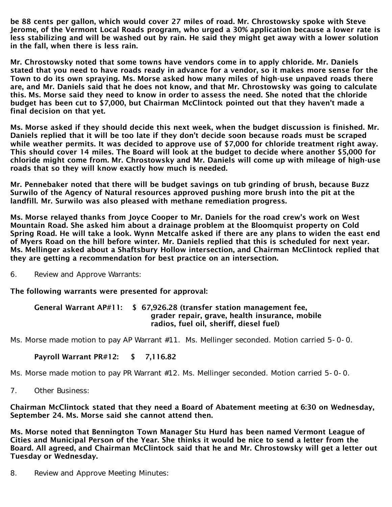be 88 cents per gallon, which would cover 27 miles of road. Mr. Chrostowsky spoke with Steve Jerome, of the Vermont Local Roads program, who urged a 30% application because a lower rate is less stabilizing and will be washed out by rain. He said they might get away with a lower solution in the fall, when there is less rain.

Mr. Chrostowsky noted that some towns have vendors come in to apply chloride. Mr. Daniels stated that you need to have roads ready in advance for a vendor, so it makes more sense for the Town to do its own spraying. Ms. Morse asked how many miles of high-use unpaved roads there are, and Mr. Daniels said that he does not know, and that Mr. Chrostowsky was going to calculate this. Ms. Morse said they need to know in order to assess the need. She noted that the chloride budget has been cut to \$7,000, but Chairman McClintock pointed out that they haven't made a final decision on that yet.

Ms. Morse asked if they should decide this next week, when the budget discussion is finished. Mr. Daniels replied that it will be too late if they don't decide soon because roads must be scraped while weather permits. It was decided to approve use of \$7,000 for chloride treatment right away. This should cover 14 miles. The Board will look at the budget to decide where another \$5,000 for chloride might come from. Mr. Chrostowsky and Mr. Daniels will come up with mileage of high-use roads that so they will know exactly how much is needed.

Mr. Pennebaker noted that there will be budget savings on tub grinding of brush, because Buzz Surwilo of the Agency of Natural resources approved pushing more brush into the pit at the landfill. Mr. Surwilo was also pleased with methane remediation progress.

Ms. Morse relayed thanks from Joyce Cooper to Mr. Daniels for the road crew's work on West Mountain Road. She asked him about a drainage problem at the Bloomquist property on Cold Spring Road. He will take a look. Wynn Metcalfe asked if there are any plans to widen the east end of Myers Road on the hill before winter. Mr. Daniels replied that this is scheduled for next year. Ms. Mellinger asked about a Shaftsbury Hollow intersection, and Chairman McClintock replied that they are getting a recommendation for best practice on an intersection.

6. Review and Approve Warrants:

The following warrants were presented for approval:

#### General Warrant AP#11: \$ 67,926.28 (transfer station management fee, grader repair, grave, health insurance, mobile radios, fuel oil, sheriff, diesel fuel)

Ms. Morse made motion to pay AP Warrant #11. Ms. Mellinger seconded. Motion carried 5-0-0.

# Payroll Warrant PR#12: \$ 7,116.82

Ms. Morse made motion to pay PR Warrant #12. Ms. Mellinger seconded. Motion carried 5-0-0.

7. Other Business:

### Chairman McClintock stated that they need a Board of Abatement meeting at 6:30 on Wednesday, September 24. Ms. Morse said she cannot attend then.

Ms. Morse noted that Bennington Town Manager Stu Hurd has been named Vermont League of Cities and Municipal Person of the Year. She thinks it would be nice to send a letter from the Board. All agreed, and Chairman McClintock said that he and Mr. Chrostowsky will get a letter out Tuesday or Wednesday.

8. Review and Approve Meeting Minutes: